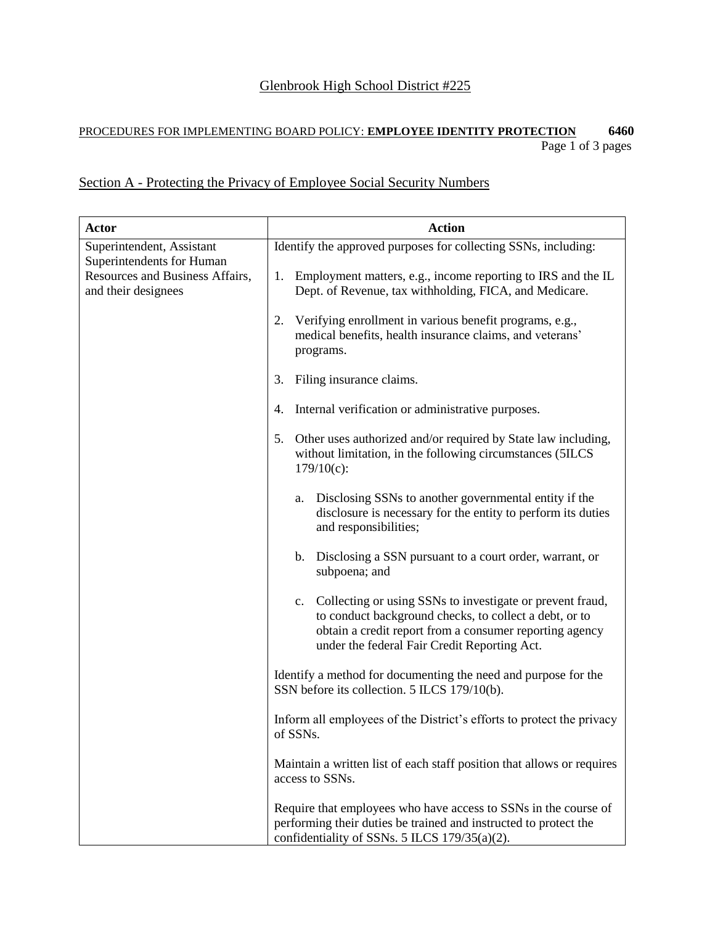## PROCEDURES FOR IMPLEMENTING BOARD POLICY: **EMPLOYEE IDENTITY PROTECTION 6460** Page 1 of 3 pages

## Section A - Protecting the Privacy of Employee Social Security Numbers

| <b>Actor</b>                                                                                                     | <b>Action</b>                                                                                                                                                                                                                        |
|------------------------------------------------------------------------------------------------------------------|--------------------------------------------------------------------------------------------------------------------------------------------------------------------------------------------------------------------------------------|
| Superintendent, Assistant<br>Superintendents for Human<br>Resources and Business Affairs,<br>and their designees | Identify the approved purposes for collecting SSNs, including:                                                                                                                                                                       |
|                                                                                                                  | Employment matters, e.g., income reporting to IRS and the IL<br>1.<br>Dept. of Revenue, tax withholding, FICA, and Medicare.                                                                                                         |
|                                                                                                                  | Verifying enrollment in various benefit programs, e.g.,<br>2.<br>medical benefits, health insurance claims, and veterans'<br>programs.                                                                                               |
|                                                                                                                  | Filing insurance claims.<br>3.                                                                                                                                                                                                       |
|                                                                                                                  | Internal verification or administrative purposes.<br>4.                                                                                                                                                                              |
|                                                                                                                  | Other uses authorized and/or required by State law including,<br>5.<br>without limitation, in the following circumstances (5ILCS)<br>$179/10(c)$ :                                                                                   |
|                                                                                                                  | Disclosing SSNs to another governmental entity if the<br>a.<br>disclosure is necessary for the entity to perform its duties<br>and responsibilities;                                                                                 |
|                                                                                                                  | Disclosing a SSN pursuant to a court order, warrant, or<br>b.<br>subpoena; and                                                                                                                                                       |
|                                                                                                                  | Collecting or using SSNs to investigate or prevent fraud,<br>c.<br>to conduct background checks, to collect a debt, or to<br>obtain a credit report from a consumer reporting agency<br>under the federal Fair Credit Reporting Act. |
|                                                                                                                  | Identify a method for documenting the need and purpose for the<br>SSN before its collection. 5 ILCS 179/10(b).                                                                                                                       |
|                                                                                                                  | Inform all employees of the District's efforts to protect the privacy<br>of SSNs.                                                                                                                                                    |
|                                                                                                                  | Maintain a written list of each staff position that allows or requires<br>access to SSNs.                                                                                                                                            |
|                                                                                                                  | Require that employees who have access to SSNs in the course of<br>performing their duties be trained and instructed to protect the<br>confidentiality of SSNs. 5 ILCS 179/35(a)(2).                                                 |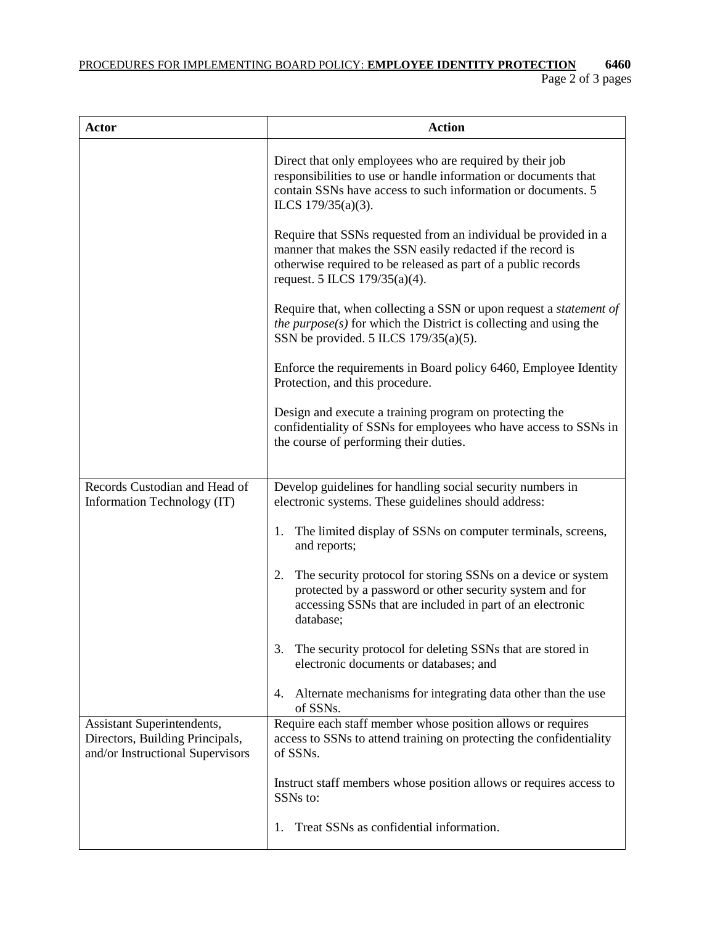PROCEDURES FOR IMPLEMENTING BOARD POLICY: **EMPLOYEE IDENTITY PROTECTION 6460**

| <b>Actor</b>                                                                                      | <b>Action</b>                                                                                                                                                                                                                   |
|---------------------------------------------------------------------------------------------------|---------------------------------------------------------------------------------------------------------------------------------------------------------------------------------------------------------------------------------|
|                                                                                                   | Direct that only employees who are required by their job<br>responsibilities to use or handle information or documents that<br>contain SSNs have access to such information or documents. 5<br>ILCS 179/35(a)(3).               |
|                                                                                                   | Require that SSNs requested from an individual be provided in a<br>manner that makes the SSN easily redacted if the record is<br>otherwise required to be released as part of a public records<br>request. 5 ILCS 179/35(a)(4). |
|                                                                                                   | Require that, when collecting a SSN or upon request a <i>statement of</i><br>the $purpose(s)$ for which the District is collecting and using the<br>SSN be provided. 5 ILCS $179/35(a)(5)$ .                                    |
|                                                                                                   | Enforce the requirements in Board policy 6460, Employee Identity<br>Protection, and this procedure.                                                                                                                             |
|                                                                                                   | Design and execute a training program on protecting the<br>confidentiality of SSNs for employees who have access to SSNs in<br>the course of performing their duties.                                                           |
| Records Custodian and Head of                                                                     | Develop guidelines for handling social security numbers in                                                                                                                                                                      |
| Information Technology (IT)                                                                       | electronic systems. These guidelines should address:                                                                                                                                                                            |
|                                                                                                   | The limited display of SSNs on computer terminals, screens,<br>1.<br>and reports;                                                                                                                                               |
|                                                                                                   | The security protocol for storing SSNs on a device or system<br>2.<br>protected by a password or other security system and for<br>accessing SSNs that are included in part of an electronic<br>database;                        |
|                                                                                                   | The security protocol for deleting SSNs that are stored in<br>3.<br>electronic documents or databases; and                                                                                                                      |
|                                                                                                   | Alternate mechanisms for integrating data other than the use<br>4.<br>of SSNs.                                                                                                                                                  |
| Assistant Superintendents,<br>Directors, Building Principals,<br>and/or Instructional Supervisors | Require each staff member whose position allows or requires<br>access to SSNs to attend training on protecting the confidentiality<br>of SSNs.                                                                                  |
|                                                                                                   | Instruct staff members whose position allows or requires access to<br>SSNs to:                                                                                                                                                  |
|                                                                                                   | Treat SSNs as confidential information.<br>1.                                                                                                                                                                                   |